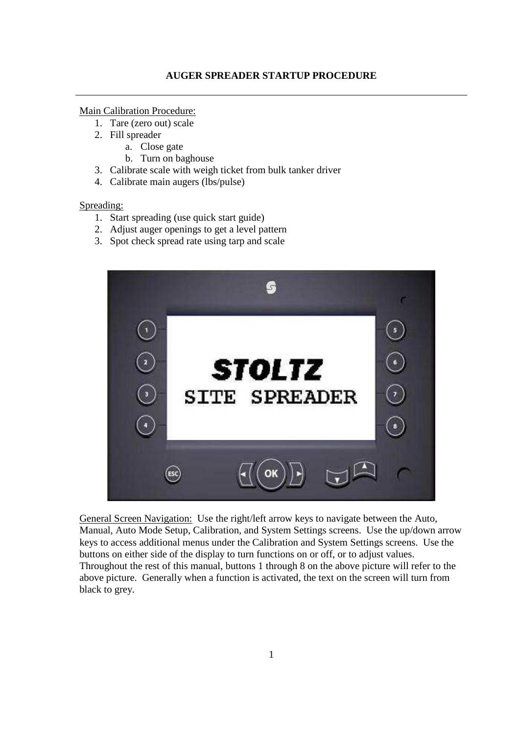Main Calibration Procedure:

- 1. Tare (zero out) scale
- 2. Fill spreader
	- a. Close gate
	- b. Turn on baghouse
- 3. Calibrate scale with weigh ticket from bulk tanker driver
- 4. Calibrate main augers (lbs/pulse)

#### Spreading:

- 1. Start spreading (use quick start guide)
- 2. Adjust auger openings to get a level pattern
- 3. Spot check spread rate using tarp and scale



General Screen Navigation: Use the right/left arrow keys to navigate between the Auto, Manual, Auto Mode Setup, Calibration, and System Settings screens. Use the up/down arrow keys to access additional menus under the Calibration and System Settings screens. Use the buttons on either side of the display to turn functions on or off, or to adjust values. Throughout the rest of this manual, buttons 1 through 8 on the above picture will refer to the above picture. Generally when a function is activated, the text on the screen will turn from black to grey.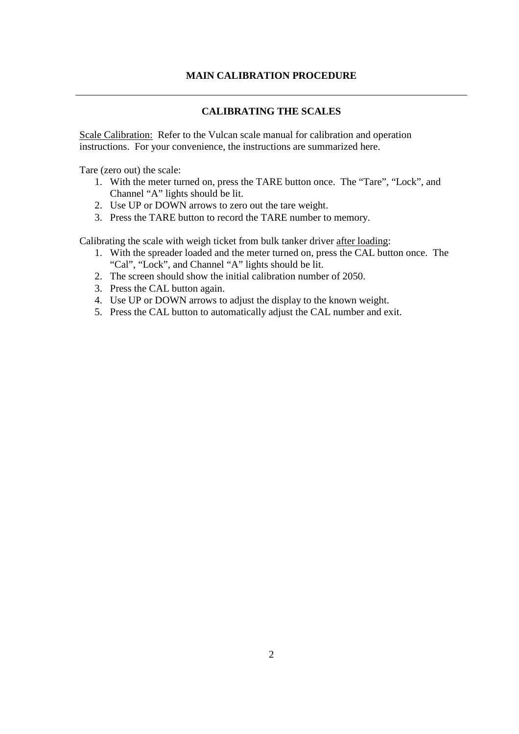### **MAIN CALIBRATION PROCEDURE**

## **CALIBRATING THE SCALES**

Scale Calibration: Refer to the Vulcan scale manual for calibration and operation instructions. For your convenience, the instructions are summarized here.

Tare (zero out) the scale:

- 1. With the meter turned on, press the TARE button once. The "Tare", "Lock", and Channel "A" lights should be lit.
- 2. Use UP or DOWN arrows to zero out the tare weight.
- 3. Press the TARE button to record the TARE number to memory.

Calibrating the scale with weigh ticket from bulk tanker driver after loading:

- 1. With the spreader loaded and the meter turned on, press the CAL button once. The "Cal", "Lock", and Channel "A" lights should be lit.
- 2. The screen should show the initial calibration number of 2050.
- 3. Press the CAL button again.
- 4. Use UP or DOWN arrows to adjust the display to the known weight.
- 5. Press the CAL button to automatically adjust the CAL number and exit.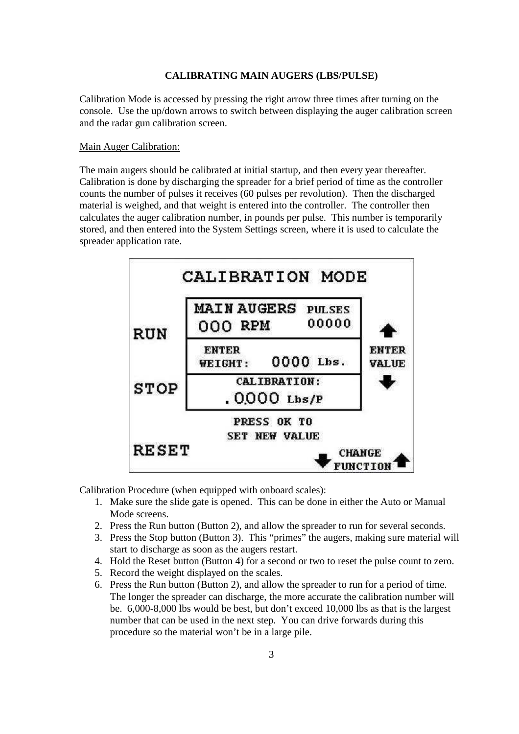### **CALIBRATING MAIN AUGERS (LBS/PULSE)**

Calibration Mode is accessed by pressing the right arrow three times after turning on the console. Use the up/down arrows to switch between displaying the auger calibration screen and the radar gun calibration screen.

#### Main Auger Calibration:

The main augers should be calibrated at initial startup, and then every year thereafter. Calibration is done by discharging the spreader for a brief period of time as the controller counts the number of pulses it receives (60 pulses per revolution). Then the discharged material is weighed, and that weight is entered into the controller. The controller then calculates the auger calibration number, in pounds per pulse. This number is temporarily stored, and then entered into the System Settings screen, where it is used to calculate the spreader application rate.



Calibration Procedure (when equipped with onboard scales):

- 1. Make sure the slide gate is opened. This can be done in either the Auto or Manual Mode screens.
- 2. Press the Run button (Button 2), and allow the spreader to run for several seconds.
- 3. Press the Stop button (Button 3). This "primes" the augers, making sure material will start to discharge as soon as the augers restart.
- 4. Hold the Reset button (Button 4) for a second or two to reset the pulse count to zero.
- 5. Record the weight displayed on the scales.
- 6. Press the Run button (Button 2), and allow the spreader to run for a period of time. The longer the spreader can discharge, the more accurate the calibration number will be. 6,000-8,000 lbs would be best, but don't exceed 10,000 lbs as that is the largest number that can be used in the next step. You can drive forwards during this procedure so the material won't be in a large pile.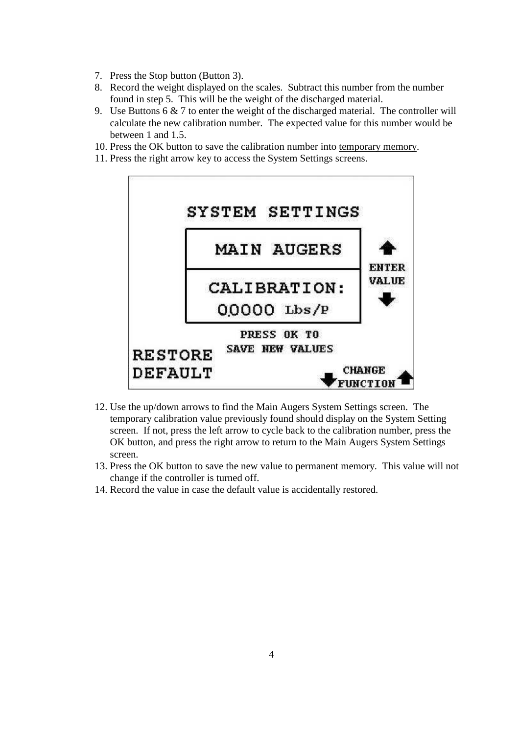- 7. Press the Stop button (Button 3).
- 8. Record the weight displayed on the scales. Subtract this number from the number found in step 5. This will be the weight of the discharged material.
- 9. Use Buttons 6 & 7 to enter the weight of the discharged material. The controller will calculate the new calibration number. The expected value for this number would be between 1 and 1.5.
- 10. Press the OK button to save the calibration number into temporary memory.
- 11. Press the right arrow key to access the System Settings screens.



- 12. Use the up/down arrows to find the Main Augers System Settings screen. The temporary calibration value previously found should display on the System Setting screen. If not, press the left arrow to cycle back to the calibration number, press the OK button, and press the right arrow to return to the Main Augers System Settings screen.
- 13. Press the OK button to save the new value to permanent memory. This value will not change if the controller is turned off.
- 14. Record the value in case the default value is accidentally restored.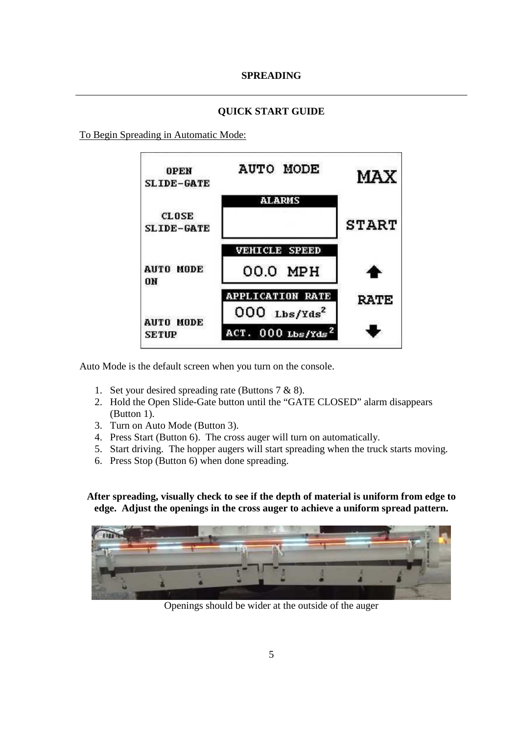# **QUICK START GUIDE**

To Begin Spreading in Automatic Mode:



Auto Mode is the default screen when you turn on the console.

- 1. Set your desired spreading rate (Buttons 7 & 8).
- 2. Hold the Open Slide-Gate button until the "GATE CLOSED" alarm disappears (Button 1).
- 3. Turn on Auto Mode (Button 3).
- 4. Press Start (Button 6). The cross auger will turn on automatically.
- 5. Start driving. The hopper augers will start spreading when the truck starts moving.
- 6. Press Stop (Button 6) when done spreading.

**After spreading, visually check to see if the depth of material is uniform from edge to edge. Adjust the openings in the cross auger to achieve a uniform spread pattern.**



Openings should be wider at the outside of the auger